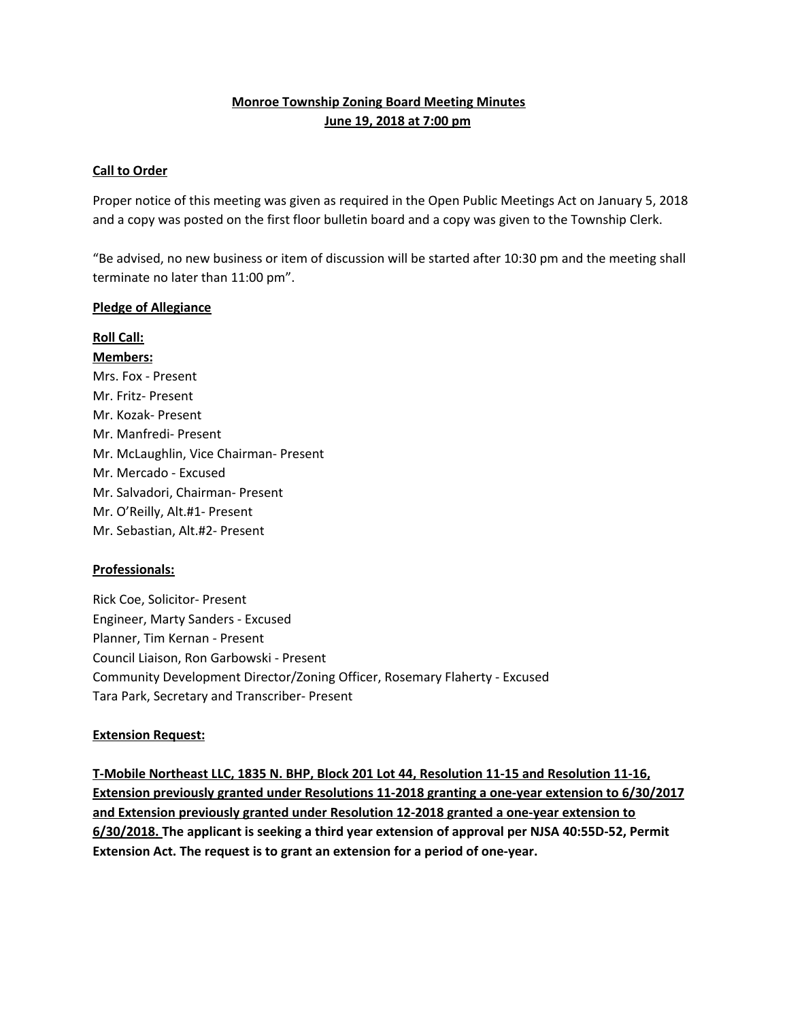## **Monroe Township Zoning Board Meeting Minutes June 19, 2018 at 7:00 pm**

#### **Call to Order**

Proper notice of this meeting was given as required in the Open Public Meetings Act on January 5, 2018 and a copy was posted on the first floor bulletin board and a copy was given to the Township Clerk.

"Be advised, no new business or item of discussion will be started after 10:30 pm and the meeting shall terminate no later than 11:00 pm".

#### **Pledge of Allegiance**

# **Roll Call:**

**Members:** Mrs. Fox - Present Mr. Fritz- Present Mr. Kozak- Present Mr. Manfredi- Present Mr. McLaughlin, Vice Chairman- Present Mr. Mercado - Excused Mr. Salvadori, Chairman- Present Mr. O'Reilly, Alt.#1- Present Mr. Sebastian, Alt.#2- Present

## **Professionals:**

Rick Coe, Solicitor- Present Engineer, Marty Sanders - Excused Planner, Tim Kernan - Present Council Liaison, Ron Garbowski - Present Community Development Director/Zoning Officer, Rosemary Flaherty - Excused Tara Park, Secretary and Transcriber- Present

## **Extension Request:**

**T-Mobile Northeast LLC, 1835 N. BHP, Block 201 Lot 44, Resolution 11-15 and Resolution 11-16, Extension previously granted under Resolutions 11-2018 granting a one-year extension to 6/30/2017 and Extension previously granted under Resolution 12-2018 granted a one-year extension to 6/30/2018. The applicant is seeking a third year extension of approval per NJSA 40:55D-52, Permit Extension Act. The request is to grant an extension for a period of one-year.**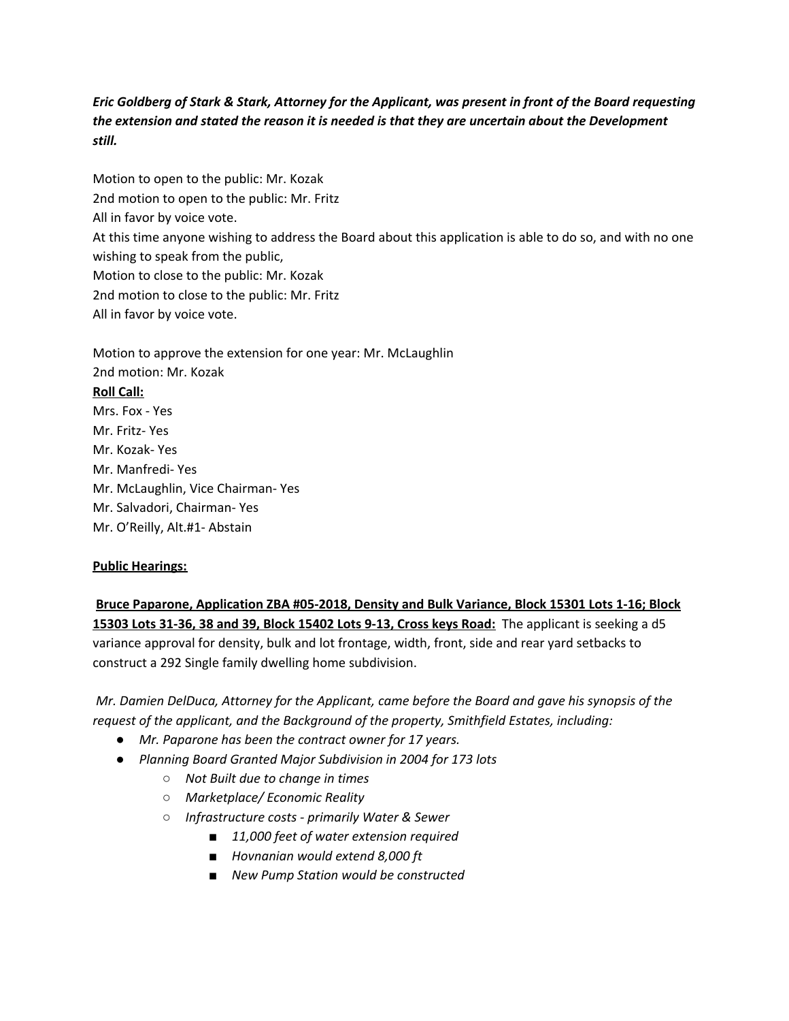## Eric Goldberg of Stark & Stark, Attorney for the Applicant, was present in front of the Board requesting *the extension and stated the reason it is needed is that they are uncertain about the Development still.*

Motion to open to the public: Mr. Kozak 2nd motion to open to the public: Mr. Fritz All in favor by voice vote. At this time anyone wishing to address the Board about this application is able to do so, and with no one wishing to speak from the public, Motion to close to the public: Mr. Kozak 2nd motion to close to the public: Mr. Fritz All in favor by voice vote.

Motion to approve the extension for one year: Mr. McLaughlin 2nd motion: Mr. Kozak **Roll Call:** Mrs. Fox - Yes Mr. Fritz- Yes Mr. Kozak- Yes Mr. Manfredi- Yes Mr. McLaughlin, Vice Chairman- Yes Mr. Salvadori, Chairman- Yes Mr. O'Reilly, Alt.#1- Abstain

## **Public Hearings:**

**Bruce Paparone, Application ZBA #05-2018, Density and Bulk Variance, Block 15301 Lots 1-16; Block 15303 Lots 31-36, 38 and 39, Block 15402 Lots 9-13, Cross keys Road:** The applicant is seeking a d5 variance approval for density, bulk and lot frontage, width, front, side and rear yard setbacks to construct a 292 Single family dwelling home subdivision.

*Mr. Damien DelDuca, Attorney for the Applicant, came before the Board and gave his synopsis of the request of the applicant, and the Background of the property, Smithfield Estates, including:*

- *● Mr. Paparone has been the contract owner for 17 years.*
- *● Planning Board Granted Major Subdivision in 2004 for 173 lots*
	- *○ Not Built due to change in times*
	- *○ Marketplace/ Economic Reality*
	- *○ Infrastructure costs - primarily Water & Sewer*
		- *■ 11,000 feet of water extension required*
		- *■ Hovnanian would extend 8,000 ft*
		- *■ New Pump Station would be constructed*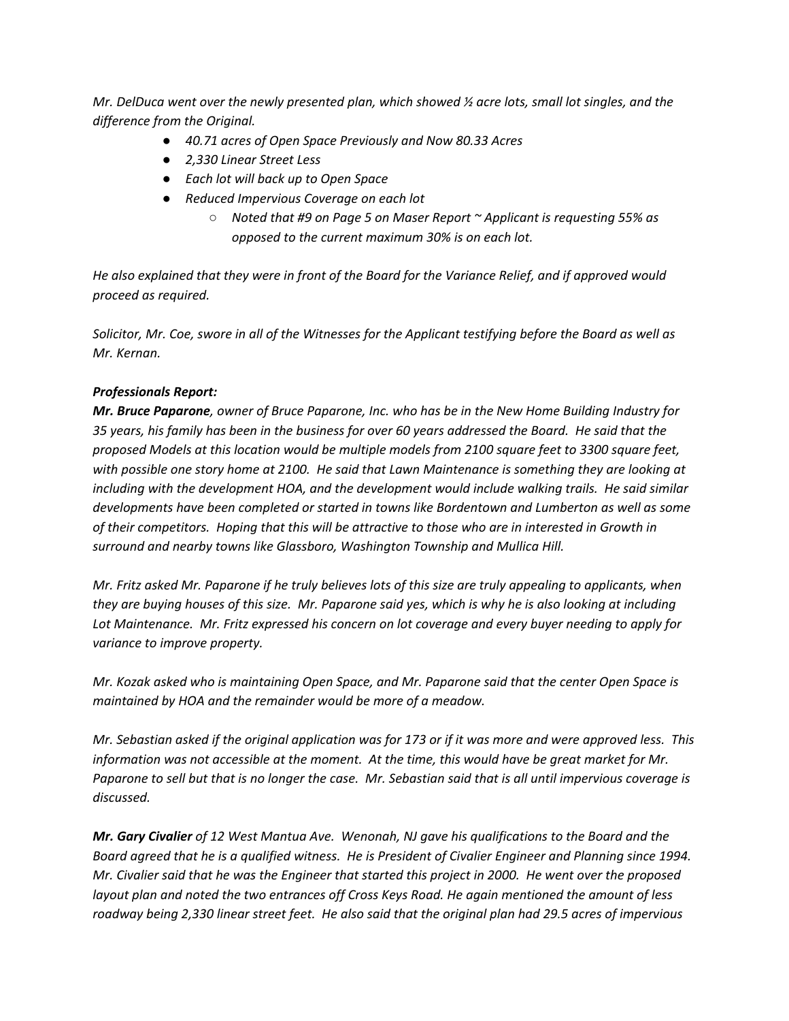Mr. DelDuca went over the newly presented plan, which showed  $\frac{1}{2}$  acre lots, small lot singles, and the *difference from the Original.*

- *● 40.71 acres of Open Space Previously and Now 80.33 Acres*
- *● 2,330 Linear Street Less*
- *● Each lot will back up to Open Space*
- *● Reduced Impervious Coverage on each lot*
	- *○ Noted that #9 on Page 5 on Maser Report ~ Applicant is requesting 55% as opposed to the current maximum 30% is on each lot.*

He also explained that they were in front of the Board for the Variance Relief, and if approved would *proceed as required.*

Solicitor, Mr. Coe, swore in all of the Witnesses for the Applicant testifying before the Board as well as *Mr. Kernan.*

#### *Professionals Report:*

Mr. Bruce Paparone, owner of Bruce Paparone, Inc. who has be in the New Home Building Industry for 35 years, his family has been in the business for over 60 years addressed the Board. He said that the *proposed Models at this location would be multiple models from 2100 square feet to 3300 square feet,* with possible one story home at 2100. He said that Lawn Maintenance is something they are looking at *including with the development HOA, and the development would include walking trails. He said similar developments have been completed or started in towns like Bordentown and Lumberton as well as some* of their competitors. Hoping that this will be attractive to those who are in interested in Growth in *surround and nearby towns like Glassboro, Washington Township and Mullica Hill.*

Mr. Fritz asked Mr. Paparone if he truly believes lots of this size are truly appealing to applicants, when they are buying houses of this size. Mr. Paparone said yes, which is why he is also looking at including *Lot Maintenance. Mr. Fritz expressed his concern on lot coverage and every buyer needing to apply for variance to improve property.*

*Mr. Kozak asked who is maintaining Open Space, and Mr. Paparone said that the center Open Space is maintained by HOA and the remainder would be more of a meadow.*

Mr. Sebastian asked if the original application was for 173 or if it was more and were approved less. This *information was not accessible at the moment. At the time, this would have be great market for Mr.* Paparone to sell but that is no longer the case. Mr. Sebastian said that is all until impervious coverage is *discussed.*

*Mr. Gary Civalier of 12 West Mantua Ave. Wenonah, NJ gave his qualifications to the Board and the* Board agreed that he is a qualified witness. He is President of Civalier Engineer and Planning since 1994. Mr. Civalier said that he was the Engineer that started this project in 2000. He went over the proposed *layout plan and noted the two entrances off Cross Keys Road. He again mentioned the amount of less* roadway being 2,330 linear street feet. He also said that the original plan had 29.5 acres of impervious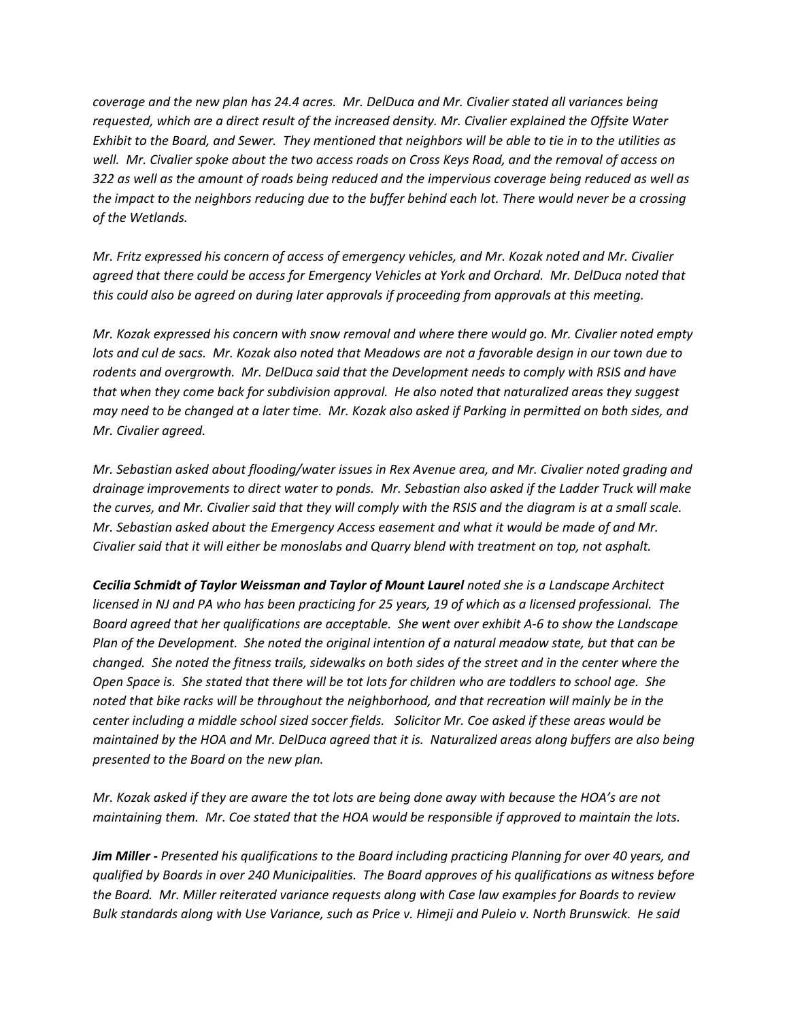*coverage and the new plan has 24.4 acres. Mr. DelDuca and Mr. Civalier stated all variances being requested, which are a direct result of the increased density. Mr. Civalier explained the Offsite Water* Exhibit to the Board, and Sewer. They mentioned that neighbors will be able to tie in to the utilities as well. Mr. Civalier spoke about the two access roads on Cross Keys Road, and the removal of access on 322 as well as the amount of roads being reduced and the impervious coverage being reduced as well as the impact to the neighbors reducing due to the buffer behind each lot. There would never be a crossing *of the Wetlands.*

*Mr. Fritz expressed his concern of access of emergency vehicles, and Mr. Kozak noted and Mr. Civalier agreed that there could be access for Emergency Vehicles at York and Orchard. Mr. DelDuca noted that this could also be agreed on during later approvals if proceeding from approvals at this meeting.*

*Mr. Kozak expressed his concern with snow removal and where there would go. Mr. Civalier noted empty* lots and cul de sacs. Mr. Kozak also noted that Meadows are not a favorable design in our town due to *rodents and overgrowth. Mr. DelDuca said that the Development needs to comply with RSIS and have that when they come back for subdivision approval. He also noted that naturalized areas they suggest* may need to be changed at a later time. Mr. Kozak also asked if Parking in permitted on both sides, and *Mr. Civalier agreed.*

*Mr. Sebastian asked about flooding/water issues in Rex Avenue area, and Mr. Civalier noted grading and drainage improvements to direct water to ponds. Mr. Sebastian also asked if the Ladder Truck will make* the curves, and Mr. Civalier said that they will comply with the RSIS and the diagram is at a small scale. *Mr. Sebastian asked about the Emergency Access easement and what it would be made of and Mr. Civalier said that it will either be monoslabs and Quarry blend with treatment on top, not asphalt.*

*Cecilia Schmidt of Taylor Weissman and Taylor of Mount Laurel noted she is a Landscape Architect* licensed in NJ and PA who has been practicing for 25 years, 19 of which as a licensed professional. The *Board agreed that her qualifications are acceptable. She went over exhibit A-6 to show the Landscape* Plan of the Development. She noted the original intention of a natural meadow state, but that can be changed. She noted the fitness trails, sidewalks on both sides of the street and in the center where the Open Space is. She stated that there will be tot lots for children who are toddlers to school age. She *noted that bike racks will be throughout the neighborhood, and that recreation will mainly be in the center including a middle school sized soccer fields. Solicitor Mr. Coe asked if these areas would be* maintained by the HOA and Mr. DelDuca agreed that it is. Naturalized areas along buffers are also being *presented to the Board on the new plan.*

Mr. Kozak asked if they are aware the tot lots are being done away with because the HOA's are not *maintaining them. Mr. Coe stated that the HOA would be responsible if approved to maintain the lots.*

**Jim Miller** - Presented his qualifications to the Board including practicing Planning for over 40 years, and *qualified by Boards in over 240 Municipalities. The Board approves of his qualifications as witness before the Board. Mr. Miller reiterated variance requests along with Case law examples for Boards to review* Bulk standards along with Use Variance, such as Price v. Himeji and Puleio v. North Brunswick. He said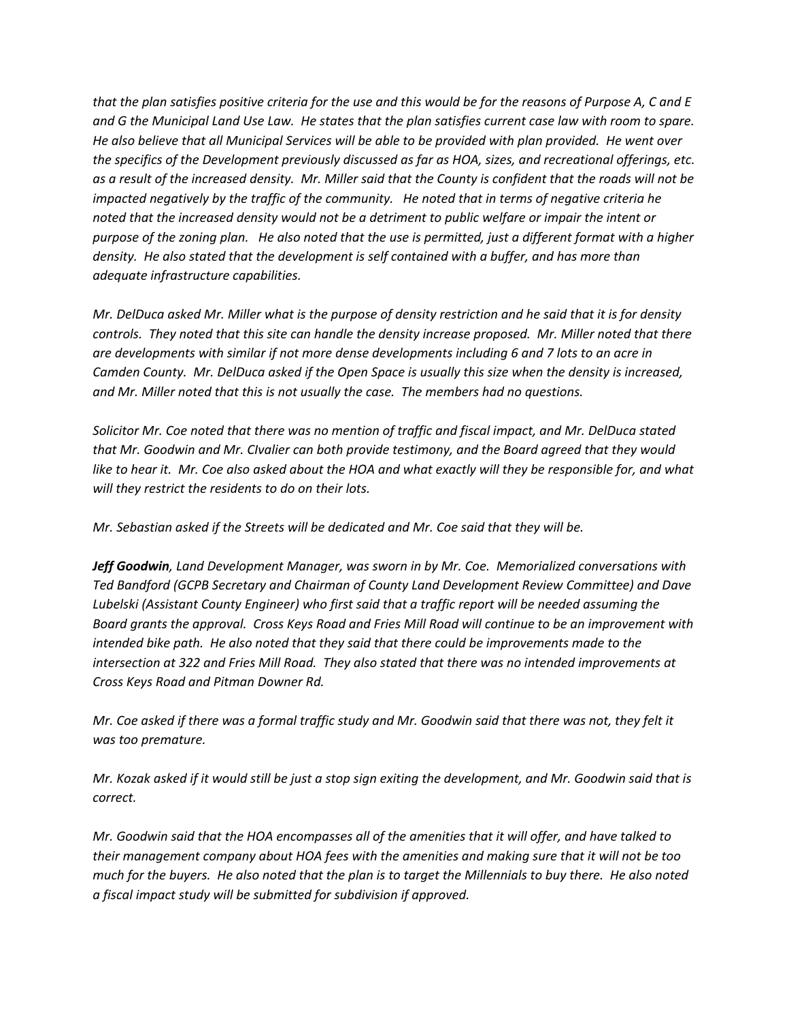that the plan satisfies positive criteria for the use and this would be for the reasons of Purpose A, C and E and G the Municipal Land Use Law. He states that the plan satisfies current case law with room to spare. He also believe that all Municipal Services will be able to be provided with plan provided. He went over *the specifics of the Development previously discussed as far as HOA, sizes, and recreational offerings, etc.* as a result of the increased density. Mr. Miller said that the County is confident that the roads will not be *impacted negatively by the traffic of the community. He noted that in terms of negative criteria he* noted that the increased density would not be a detriment to public welfare or impair the intent or purpose of the zoning plan. He also noted that the use is permitted, just a different format with a higher *density. He also stated that the development is self contained with a buffer, and has more than adequate infrastructure capabilities.*

Mr. DelDuca asked Mr. Miller what is the purpose of density restriction and he said that it is for density *controls. They noted that this site can handle the density increase proposed. Mr. Miller noted that there are developments with similar if not more dense developments including 6 and 7 lots to an acre in* Camden County. Mr. DelDuca asked if the Open Space is usually this size when the density is increased, *and Mr. Miller noted that this is not usually the case. The members had no questions.*

Solicitor Mr. Coe noted that there was no mention of traffic and fiscal impact, and Mr. DelDuca stated *that Mr. Goodwin and Mr. CIvalier can both provide testimony, and the Board agreed that they would* like to hear it. Mr. Coe also asked about the HOA and what exactly will they be responsible for, and what *will they restrict the residents to do on their lots.*

*Mr. Sebastian asked if the Streets will be dedicated and Mr. Coe said that they will be.*

*Jeff Goodwin, Land Development Manager, was sworn in by Mr. Coe. Memorialized conversations with Ted Bandford (GCPB Secretary and Chairman of County Land Development Review Committee) and Dave Lubelski (Assistant County Engineer) who first said that a traffic report will be needed assuming the* Board grants the approval. Cross Keys Road and Fries Mill Road will continue to be an improvement with *intended bike path. He also noted that they said that there could be improvements made to the intersection at 322 and Fries Mill Road. They also stated that there was no intended improvements at Cross Keys Road and Pitman Downer Rd.*

Mr. Coe asked if there was a formal traffic study and Mr. Goodwin said that there was not, they felt it *was too premature.*

Mr. Kozak asked if it would still be just a stop sign exiting the development, and Mr. Goodwin said that is *correct.*

Mr. Goodwin said that the HOA encompasses all of the amenities that it will offer, and have talked to *their management company about HOA fees with the amenities and making sure that it will not be too* much for the buyers. He also noted that the plan is to target the Millennials to buy there. He also noted *a fiscal impact study will be submitted for subdivision if approved.*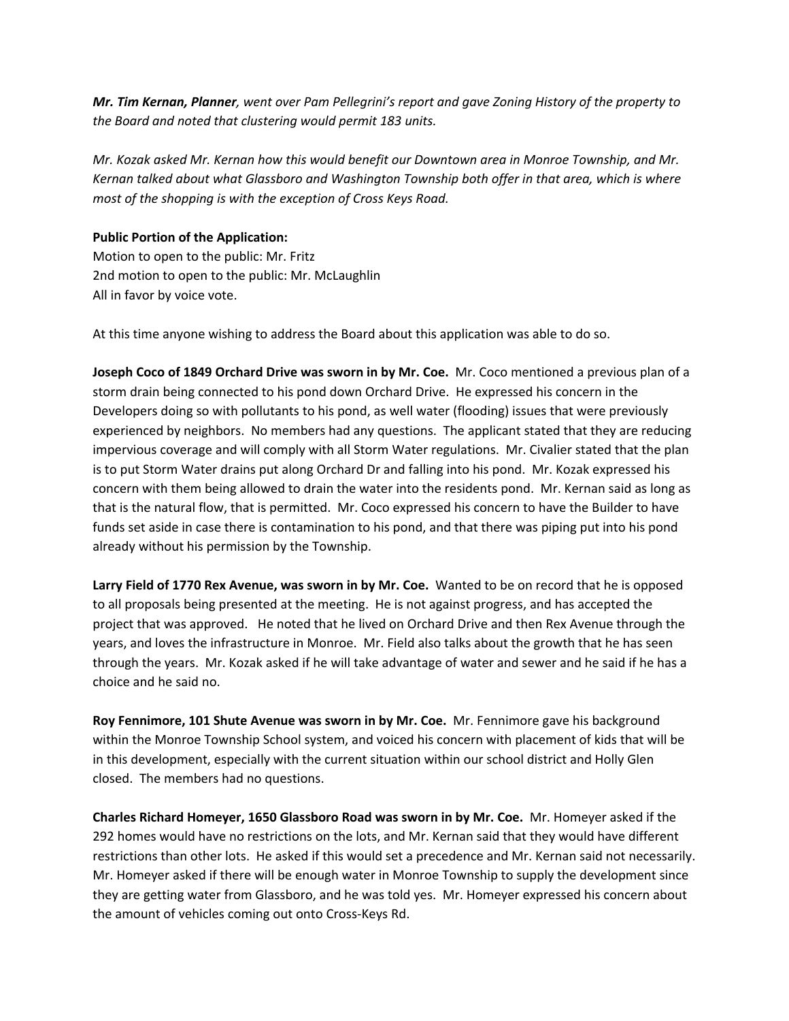Mr. Tim Kernan, Planner, went over Pam Pellegrini's report and gave Zoning History of the property to *the Board and noted that clustering would permit 183 units.*

*Mr. Kozak asked Mr. Kernan how this would benefit our Downtown area in Monroe Township, and Mr. Kernan talked about what Glassboro and Washington Township both offer in that area, which is where most of the shopping is with the exception of Cross Keys Road.*

### **Public Portion of the Application:**

Motion to open to the public: Mr. Fritz 2nd motion to open to the public: Mr. McLaughlin All in favor by voice vote.

At this time anyone wishing to address the Board about this application was able to do so.

**Joseph Coco of 1849 Orchard Drive was sworn in by Mr. Coe.** Mr. Coco mentioned a previous plan of a storm drain being connected to his pond down Orchard Drive. He expressed his concern in the Developers doing so with pollutants to his pond, as well water (flooding) issues that were previously experienced by neighbors. No members had any questions. The applicant stated that they are reducing impervious coverage and will comply with all Storm Water regulations. Mr. Civalier stated that the plan is to put Storm Water drains put along Orchard Dr and falling into his pond. Mr. Kozak expressed his concern with them being allowed to drain the water into the residents pond. Mr. Kernan said as long as that is the natural flow, that is permitted. Mr. Coco expressed his concern to have the Builder to have funds set aside in case there is contamination to his pond, and that there was piping put into his pond already without his permission by the Township.

**Larry Field of 1770 Rex Avenue, was sworn in by Mr. Coe.** Wanted to be on record that he is opposed to all proposals being presented at the meeting. He is not against progress, and has accepted the project that was approved. He noted that he lived on Orchard Drive and then Rex Avenue through the years, and loves the infrastructure in Monroe. Mr. Field also talks about the growth that he has seen through the years. Mr. Kozak asked if he will take advantage of water and sewer and he said if he has a choice and he said no.

**Roy Fennimore, 101 Shute Avenue was sworn in by Mr. Coe.** Mr. Fennimore gave his background within the Monroe Township School system, and voiced his concern with placement of kids that will be in this development, especially with the current situation within our school district and Holly Glen closed. The members had no questions.

**Charles Richard Homeyer, 1650 Glassboro Road was sworn in by Mr. Coe.** Mr. Homeyer asked if the 292 homes would have no restrictions on the lots, and Mr. Kernan said that they would have different restrictions than other lots. He asked if this would set a precedence and Mr. Kernan said not necessarily. Mr. Homeyer asked if there will be enough water in Monroe Township to supply the development since they are getting water from Glassboro, and he was told yes. Mr. Homeyer expressed his concern about the amount of vehicles coming out onto Cross-Keys Rd.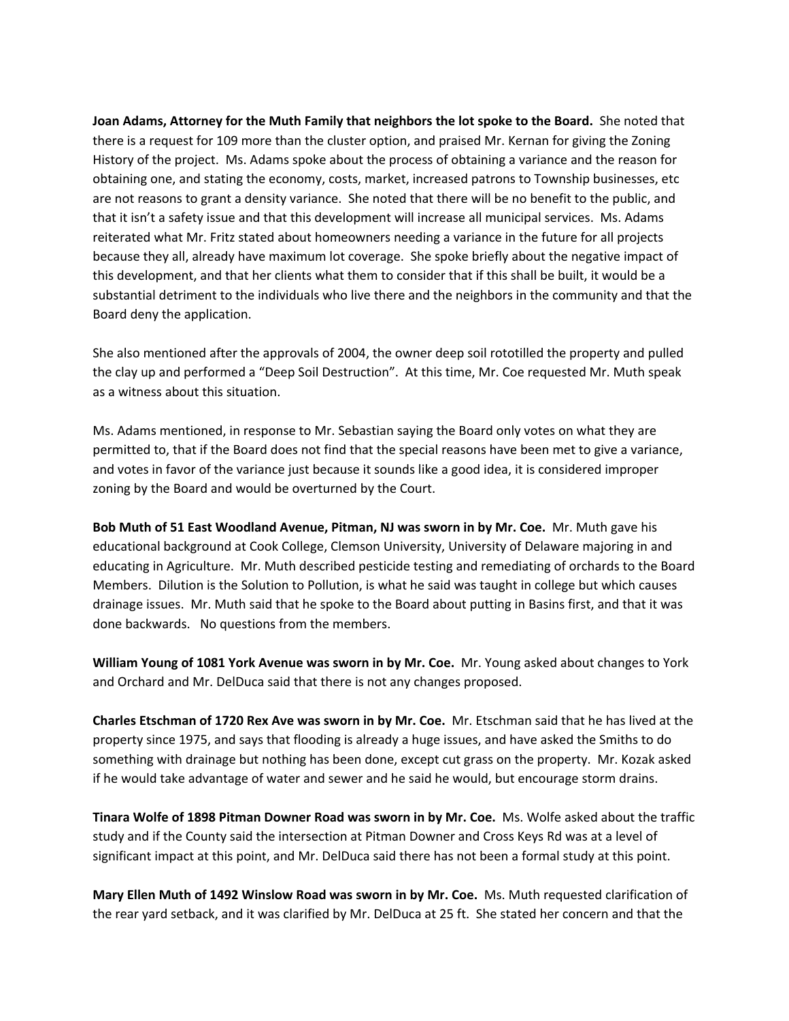**Joan Adams, Attorney for the Muth Family that neighbors the lot spoke to the Board.** She noted that there is a request for 109 more than the cluster option, and praised Mr. Kernan for giving the Zoning History of the project. Ms. Adams spoke about the process of obtaining a variance and the reason for obtaining one, and stating the economy, costs, market, increased patrons to Township businesses, etc are not reasons to grant a density variance. She noted that there will be no benefit to the public, and that it isn't a safety issue and that this development will increase all municipal services. Ms. Adams reiterated what Mr. Fritz stated about homeowners needing a variance in the future for all projects because they all, already have maximum lot coverage. She spoke briefly about the negative impact of this development, and that her clients what them to consider that if this shall be built, it would be a substantial detriment to the individuals who live there and the neighbors in the community and that the Board deny the application.

She also mentioned after the approvals of 2004, the owner deep soil rototilled the property and pulled the clay up and performed a "Deep Soil Destruction". At this time, Mr. Coe requested Mr. Muth speak as a witness about this situation.

Ms. Adams mentioned, in response to Mr. Sebastian saying the Board only votes on what they are permitted to, that if the Board does not find that the special reasons have been met to give a variance, and votes in favor of the variance just because it sounds like a good idea, it is considered improper zoning by the Board and would be overturned by the Court.

**Bob Muth of 51 East Woodland Avenue, Pitman, NJ was sworn in by Mr. Coe.** Mr. Muth gave his educational background at Cook College, Clemson University, University of Delaware majoring in and educating in Agriculture. Mr. Muth described pesticide testing and remediating of orchards to the Board Members. Dilution is the Solution to Pollution, is what he said was taught in college but which causes drainage issues. Mr. Muth said that he spoke to the Board about putting in Basins first, and that it was done backwards. No questions from the members.

**William Young of 1081 York Avenue was sworn in by Mr. Coe.** Mr. Young asked about changes to York and Orchard and Mr. DelDuca said that there is not any changes proposed.

**Charles Etschman of 1720 Rex Ave was sworn in by Mr. Coe.** Mr. Etschman said that he has lived at the property since 1975, and says that flooding is already a huge issues, and have asked the Smiths to do something with drainage but nothing has been done, except cut grass on the property. Mr. Kozak asked if he would take advantage of water and sewer and he said he would, but encourage storm drains.

**Tinara Wolfe of 1898 Pitman Downer Road was sworn in by Mr. Coe.** Ms. Wolfe asked about the traffic study and if the County said the intersection at Pitman Downer and Cross Keys Rd was at a level of significant impact at this point, and Mr. DelDuca said there has not been a formal study at this point.

**Mary Ellen Muth of 1492 Winslow Road was sworn in by Mr. Coe.** Ms. Muth requested clarification of the rear yard setback, and it was clarified by Mr. DelDuca at 25 ft. She stated her concern and that the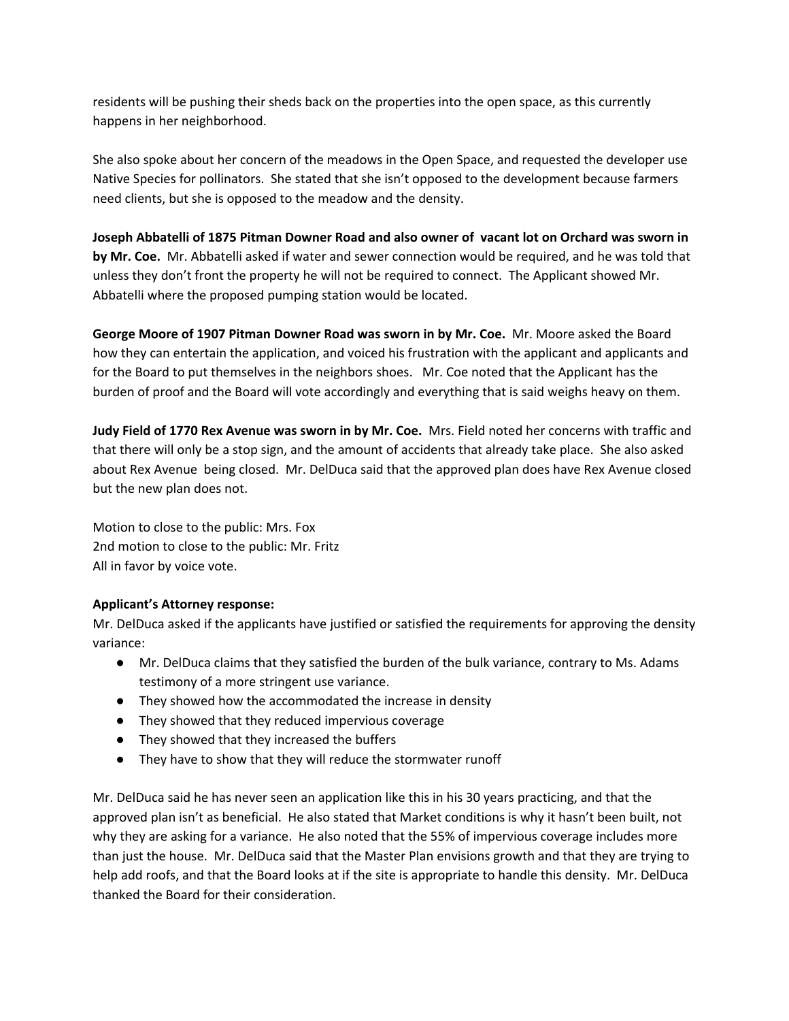residents will be pushing their sheds back on the properties into the open space, as this currently happens in her neighborhood.

She also spoke about her concern of the meadows in the Open Space, and requested the developer use Native Species for pollinators. She stated that she isn't opposed to the development because farmers need clients, but she is opposed to the meadow and the density.

**Joseph Abbatelli of 1875 Pitman Downer Road and also owner of vacant lot on Orchard was sworn in by Mr. Coe.** Mr. Abbatelli asked if water and sewer connection would be required, and he was told that unless they don't front the property he will not be required to connect. The Applicant showed Mr. Abbatelli where the proposed pumping station would be located.

**George Moore of 1907 Pitman Downer Road was sworn in by Mr. Coe.** Mr. Moore asked the Board how they can entertain the application, and voiced his frustration with the applicant and applicants and for the Board to put themselves in the neighbors shoes. Mr. Coe noted that the Applicant has the burden of proof and the Board will vote accordingly and everything that is said weighs heavy on them.

**Judy Field of 1770 Rex Avenue was sworn in by Mr. Coe.** Mrs. Field noted her concerns with traffic and that there will only be a stop sign, and the amount of accidents that already take place. She also asked about Rex Avenue being closed. Mr. DelDuca said that the approved plan does have Rex Avenue closed but the new plan does not.

Motion to close to the public: Mrs. Fox 2nd motion to close to the public: Mr. Fritz All in favor by voice vote.

## **Applicant's Attorney response:**

Mr. DelDuca asked if the applicants have justified or satisfied the requirements for approving the density variance:

- Mr. DelDuca claims that they satisfied the burden of the bulk variance, contrary to Ms. Adams testimony of a more stringent use variance.
- They showed how the accommodated the increase in density
- They showed that they reduced impervious coverage
- They showed that they increased the buffers
- They have to show that they will reduce the stormwater runoff

Mr. DelDuca said he has never seen an application like this in his 30 years practicing, and that the approved plan isn't as beneficial. He also stated that Market conditions is why it hasn't been built, not why they are asking for a variance. He also noted that the 55% of impervious coverage includes more than just the house. Mr. DelDuca said that the Master Plan envisions growth and that they are trying to help add roofs, and that the Board looks at if the site is appropriate to handle this density. Mr. DelDuca thanked the Board for their consideration.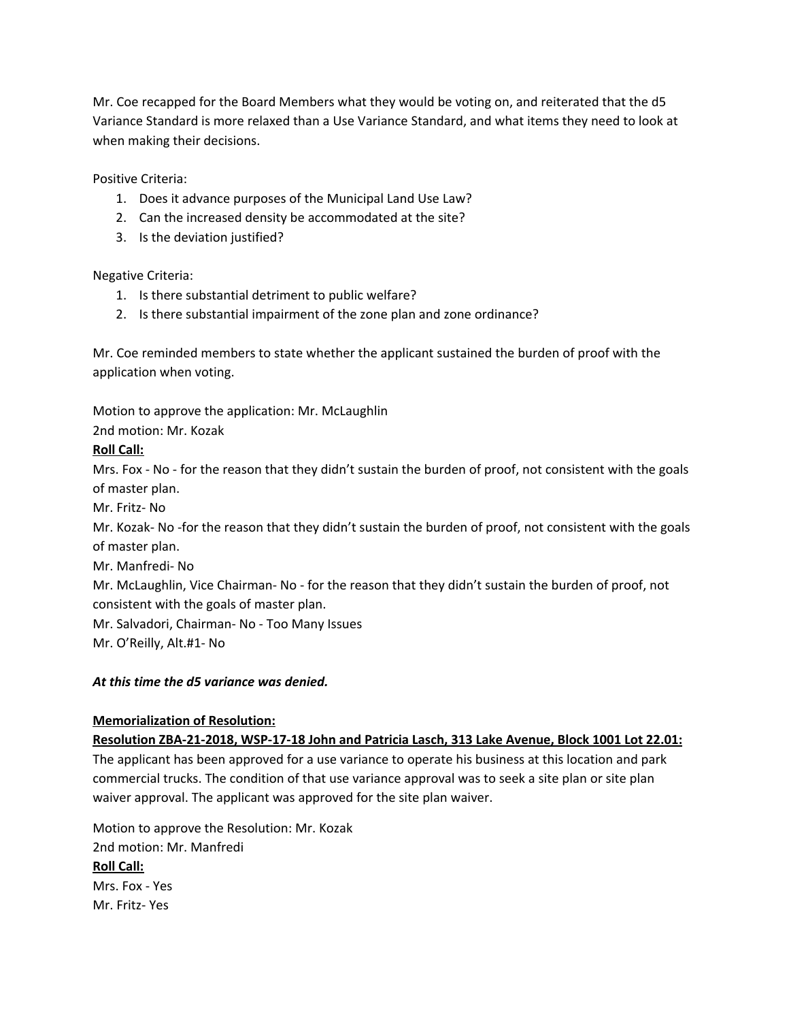Mr. Coe recapped for the Board Members what they would be voting on, and reiterated that the d5 Variance Standard is more relaxed than a Use Variance Standard, and what items they need to look at when making their decisions.

Positive Criteria:

- 1. Does it advance purposes of the Municipal Land Use Law?
- 2. Can the increased density be accommodated at the site?
- 3. Is the deviation justified?

Negative Criteria:

- 1. Is there substantial detriment to public welfare?
- 2. Is there substantial impairment of the zone plan and zone ordinance?

Mr. Coe reminded members to state whether the applicant sustained the burden of proof with the application when voting.

Motion to approve the application: Mr. McLaughlin

2nd motion: Mr. Kozak

#### **Roll Call:**

Mrs. Fox - No - for the reason that they didn't sustain the burden of proof, not consistent with the goals of master plan.

Mr. Fritz- No

Mr. Kozak- No -for the reason that they didn't sustain the burden of proof, not consistent with the goals of master plan.

Mr. Manfredi- No

Mr. McLaughlin, Vice Chairman- No - for the reason that they didn't sustain the burden of proof, not consistent with the goals of master plan.

Mr. Salvadori, Chairman- No - Too Many Issues

Mr. O'Reilly, Alt.#1- No

#### *At this time the d5 variance was denied.*

## **Memorialization of Resolution:**

#### **Resolution ZBA-21-2018, WSP-17-18 John and Patricia Lasch, 313 Lake Avenue, Block 1001 Lot 22.01:**

The applicant has been approved for a use variance to operate his business at this location and park commercial trucks. The condition of that use variance approval was to seek a site plan or site plan waiver approval. The applicant was approved for the site plan waiver.

Motion to approve the Resolution: Mr. Kozak 2nd motion: Mr. Manfredi **Roll Call:** Mrs. Fox - Yes Mr. Fritz- Yes